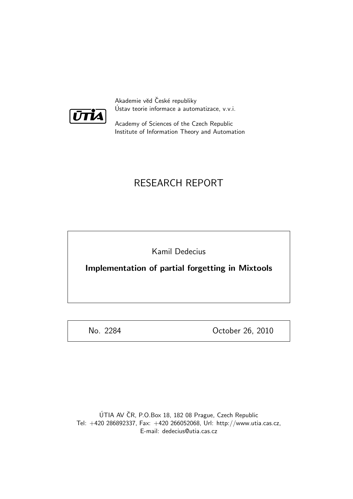

Akademie věd České republiky Ustav teorie informace a automatizace, v.v.i. ´

Academy of Sciences of the Czech Republic Institute of Information Theory and Automation

# RESEARCH REPORT

Kamil Dedecius

Implementation of partial forgetting in Mixtools

No. 2284 October 26, 2010

ÚTIA AV ČR, P.O.Box 18, 182 08 Prague, Czech Republic Tel: +420 286892337, Fax: +420 266052068, Url: http://www.utia.cas.cz, E-mail: dedecius@utia.cas.cz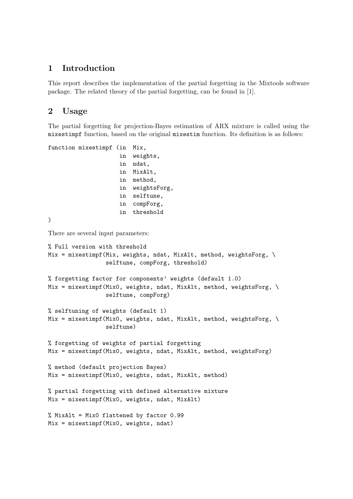### 1 Introduction

This report describes the implementation of the partial forgetting in the Mixtools software package. The related theory of the partial forgetting, can be found in [1].

### 2 Usage

The partial forgetting for projection-Bayes estimation of ARX mixture is called using the mixestimpf function, based on the original mixestim function. Its definition is as follows:

```
function mixestimpf (in Mix,
                     in weights,
                     in ndat,
                     in MixAlt,
                     in method,
                     in weightsForg,
                     in selftune,
                     in compForg,
                     in threshold
\lambdaThere are several input parameters:
% Full version with threshold
Mix = mixestimpf(Mix, weights, ndat, MixAlt, method, weightsForg, \
                 selftune, compForg, threshold)
% forgetting factor for components' weights (default 1.0)
Mix = mixestimpf(Mix0, weights, ndat, MixAlt, method, weightsForg, \
                 selftune, compForg)
% selftuning of weights (default 1)
Mix = mixestimpf(Mix0, weights, ndat, MixAlt, method, weightsForg, \
                 selftune)
% forgetting of weights of partial forgetting
Mix = mixestimpf(Mix0, weights, ndat, MixAlt, method, weightsForg)
% method (default projection Bayes)
Mix = mixestimpf(Mix0, weights, ndat, MixAlt, method)
% partial forgetting with defined alternative mixture
Mix = mixestimpf(Mix0, weights, ndat, MixAlt)
% MixAlt = Mix0 flattened by factor 0.99
Mix = mixestimpf(Mix0, weights, ndat)
```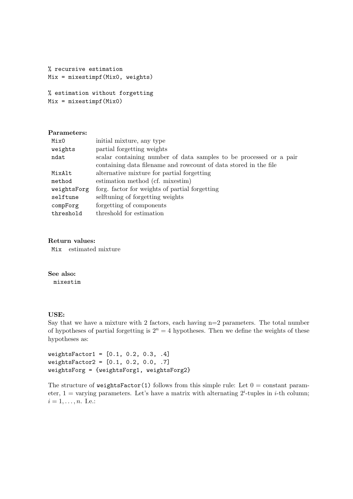```
% recursive estimation
Mix = mixestimpf(Mix0, weights)
```

```
% estimation without forgetting
Mix = mixestimpf(Mix0)
```
#### Parameters:

| Mix0        | initial mixture, any type                                          |
|-------------|--------------------------------------------------------------------|
| weights     | partial forgetting weights                                         |
| ndat        | scalar containing number of data samples to be processed or a pair |
|             | containing data filename and rowcount of data stored in the file   |
| MixAlt      | alternative mixture for partial forgetting                         |
| method      | estimation method (cf. mixestim)                                   |
| weightsForg | forg. factor for weights of partial forgetting                     |
| selftune    | selftuning of forgetting weights                                   |
| compForg    | forgetting of components                                           |
| threshold   | threshold for estimation                                           |
|             |                                                                    |

#### Return values:

Mix estimated mixture

See also: mixestim

#### USE:

Say that we have a mixture with 2 factors, each having  $n=2$  parameters. The total number of hypotheses of partial forgetting is  $2^n = 4$  hypotheses. Then we define the weights of these hypotheses as:

```
weightsfactor1 = [0.1, 0.2, 0.3, .4]weightsFactor2 = [0.1, 0.2, 0.0, .7]
weightsForg = {weightsForg1, weightsForg2}
```
The structure of weightsFactor(1) follows from this simple rule: Let  $0 =$  constant parameter,  $1 =$  varying parameters. Let's have a matrix with alternating  $2^i$ -tuples in *i*-th column;  $i = 1, \ldots, n$ . I.e.: